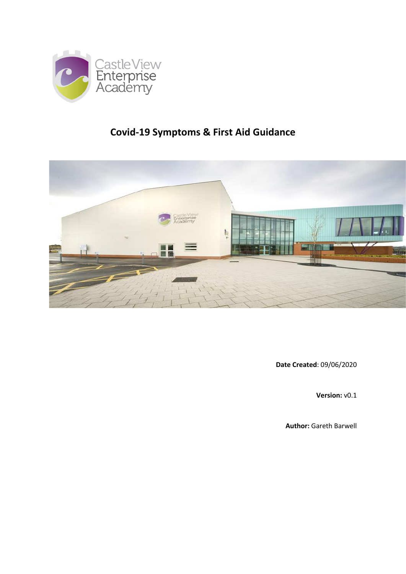

# **Covid-19 Symptoms & First Aid Guidance**



**Date Created**: 09/06/2020

**Version:** v0.1

**Author:** Gareth Barwell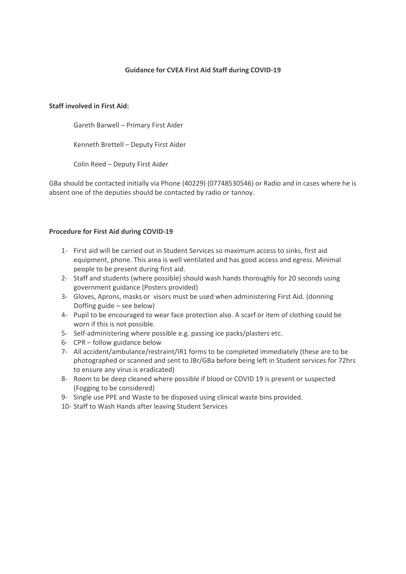## **Guidance for CVEA First Aid Staff during COVID-19**

#### **Staff involved in First Aid:**

Gareth Barwell – Primary First Aider

Kenneth Brettell – Deputy First Aider

Colin Reed – Deputy First Aider

GBa should be contacted initially via Phone (40229) (07748530546) or Radio and in cases where he is absent one of the deputies should be contacted by radio or tannoy.

#### **Procedure for First Aid during COVID-19**

- 1- First aid will be carried out in Student Services so maximum access to sinks, first aid equipment, phone. This area is well ventilated and has good access and egress. Minimal people to be present during first aid.
- 2- Staff and students (where possible) should wash hands thoroughly for 20 seconds using government guidance (Posters provided)
- 3- Gloves, Aprons, masks or visors must be used when administering First Aid. (donning Doffing guide – see below)
- 4- Pupil to be encouraged to wear face protection also. A scarf or item of clothing could be worn if this is not possible.
- 5- Self-administering where possible e.g. passing ice packs/plasters etc.
- 6- CPR follow guidance below
- 7- All accident/ambulance/restraint/IR1 forms to be completed immediately (these are to be photographed or scanned and sent to JBr/GBa before being left in Student services for 72hrs to ensure any virus is eradicated)
- 8- Room to be deep cleaned where possible if blood or COVID 19 is present or suspected (Fogging to be considered)
- 9- Single use PPE and Waste to be disposed using clinical waste bins provided.
- 10- Staff to Wash Hands after leaving Student Services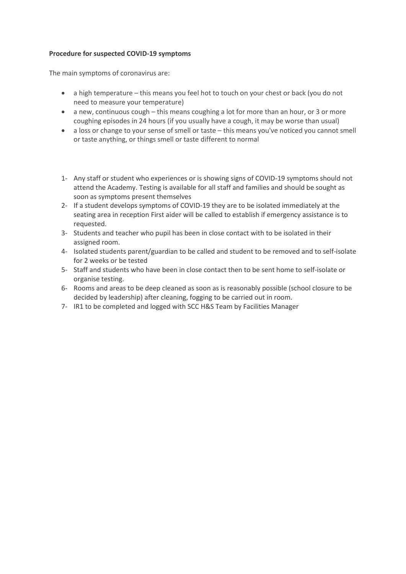## **Procedure for suspected COVID-19 symptoms**

The main symptoms of coronavirus are:

- a high temperature this means you feel hot to touch on your chest or back (you do not need to measure your temperature)
- a new, continuous cough this means coughing a lot for more than an hour, or 3 or more coughing episodes in 24 hours (if you usually have a cough, it may be worse than usual)
- a loss or change to your sense of smell or taste this means you've noticed you cannot smell or taste anything, or things smell or taste different to normal
- 1- Any staff or student who experiences or is showing signs of COVID-19 symptoms should not attend the Academy. Testing is available for all staff and families and should be sought as soon as symptoms present themselves
- 2- If a student develops symptoms of COVID-19 they are to be isolated immediately at the seating area in reception First aider will be called to establish if emergency assistance is to requested.
- 3- Students and teacher who pupil has been in close contact with to be isolated in their assigned room.
- 4- Isolated students parent/guardian to be called and student to be removed and to self-isolate for 2 weeks or be tested
- 5- Staff and students who have been in close contact then to be sent home to self-isolate or organise testing.
- 6- Rooms and areas to be deep cleaned as soon as is reasonably possible (school closure to be decided by leadership) after cleaning, fogging to be carried out in room.
- 7- IR1 to be completed and logged with SCC H&S Team by Facilities Manager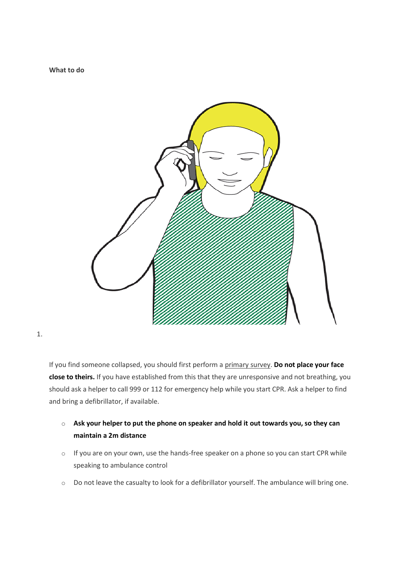**What to do**



1.

If you find someone collapsed, you should first perform a [primary](https://www.sja.org.uk/get-advice/first-aid-advice/how-to/how-to-do-the-primary-survey/) survey. **Do not place your face close to theirs.** If you have established from this that they are unresponsive and not breathing, you should ask a helper to call 999 or 112 for emergency help while you start CPR. Ask a helper to find and bring a defibrillator, if available.

- o **Ask your helper to put the phone on speaker and hold it out towards you, so they can maintain a 2m distance**
- o If you are on your own, use the hands-free speaker on a phone so you can start CPR while speaking to ambulance control
- o Do not leave the casualty to look for a defibrillator yourself. The ambulance will bring one.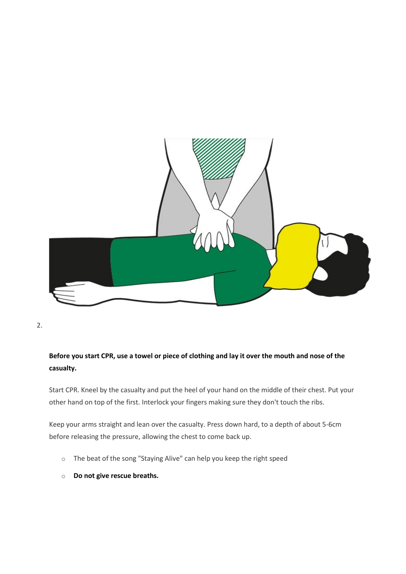

# **Before you start CPR, use a towel or piece of clothing and lay it over the mouth and nose of the casualty.**

Start CPR. Kneel by the casualty and put the heel of your hand on the middle of their chest. Put your other hand on top of the first. Interlock your fingers making sure they don't touch the ribs.

Keep your arms straight and lean over the casualty. Press down hard, to a depth of about 5-6cm before releasing the pressure, allowing the chest to come back up.

- o The beat of the song "Staying Alive" can help you keep the right speed
- o **Do not give rescue breaths.**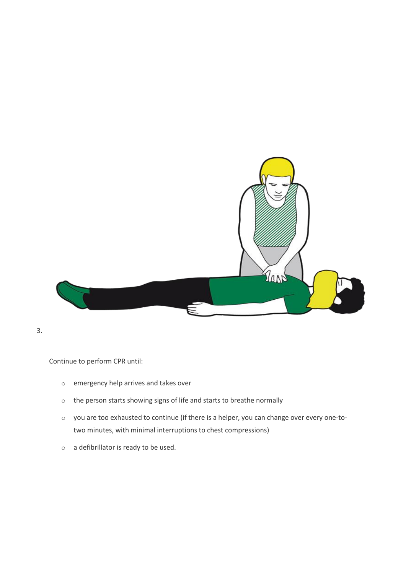

Continue to perform CPR until:  

- o emergency help arrives and takes over
- o the person starts showing signs of life and starts to breathe normally
- o you are too exhausted to continue (if there is a helper, you can change over every one-totwo minutes, with minimal interruptions to chest compressions)
- o a [defibrillator](https://www.sja.org.uk/get-advice/first-aid-advice/how-to/how-to-use-a-defibrillator/) is ready to be used.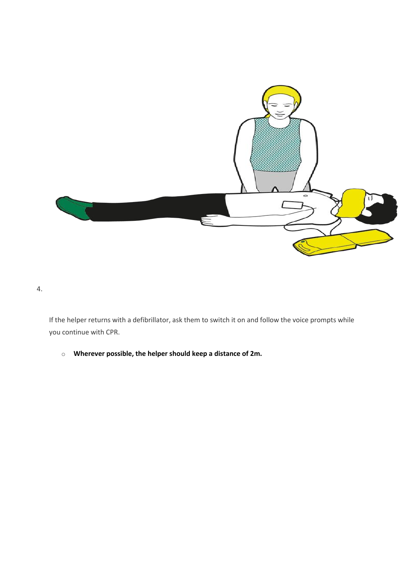

If the helper returns with a defibrillator, ask them to switch it on and follow the voice prompts while you continue with CPR.

o **Wherever possible, the helper should keep a distance of 2m.**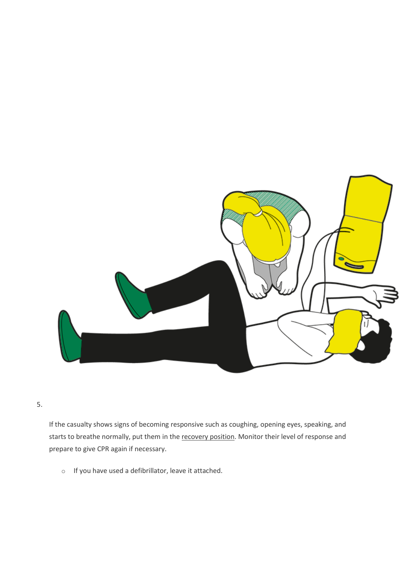

If the casualty shows signs of becoming responsive such as coughing, opening eyes, speaking, and starts to breathe normally, put them in the [recovery](https://www.sja.org.uk/get-advice/first-aid-advice/unresponsive-casualty/how-to-do-the-recovery-position/) position. Monitor their level of response and prepare to give CPR again if necessary.

o If you have used a defibrillator, leave it attached.